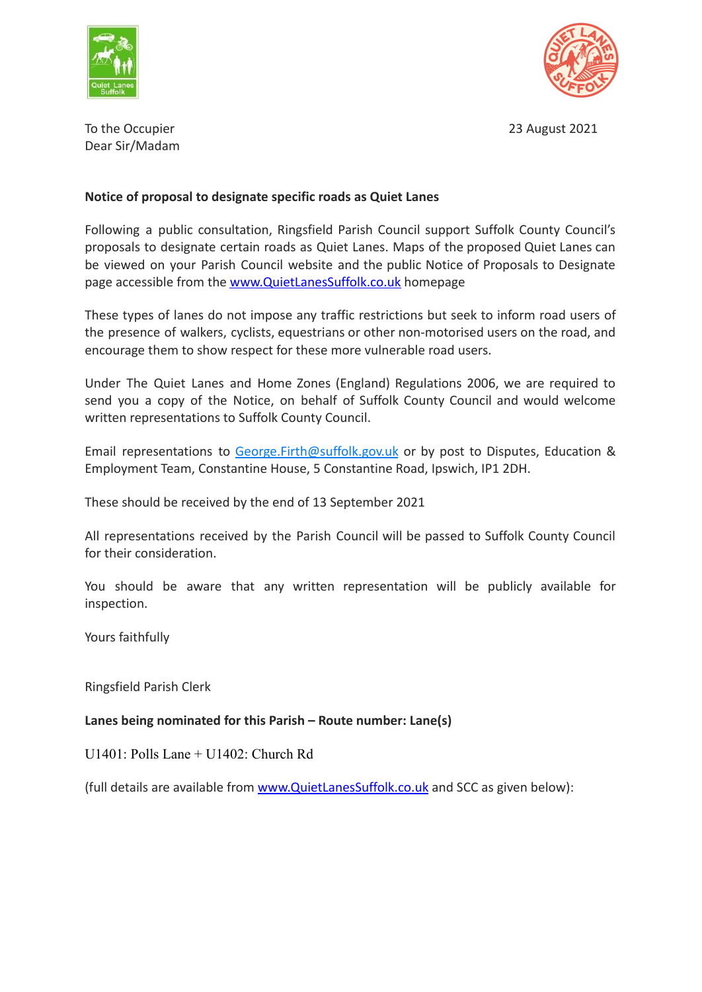



To the Occupier 2021 **The Occupier 2021** Dear Sir/Madam

## **Notice of proposal to designate specific roads as Quiet Lanes**

Following a public consultation, Ringsfield Parish Council support Suffolk County Council's proposals to designate certain roads as Quiet Lanes. Maps of the proposed Quiet Lanes can be viewed on your Parish Council website and the public Notice of Proposals to Designate page accessible from the [www.QuietLanesSuffolk.co.uk](http://www.quietlanessuffolk.co.uk) homepage

These types of lanes do not impose any traffic restrictions but seek to inform road users of the presence of walkers, cyclists, equestrians or other non-motorised users on the road, and encourage them to show respect for these more vulnerable road users.

Under The Quiet Lanes and Home Zones (England) Regulations 2006, we are required to send you a copy of the Notice, on behalf of Suffolk County Council and would welcome written representations to Suffolk County Council.

Email representations to [George.Firth@suffolk.gov.uk](mailto:George.Firth@suffolk.gov.uk) or by post to Disputes, Education & Employment Team, Constantine House, 5 Constantine Road, Ipswich, IP1 2DH.

These should be received by the end of 13 September 2021

All representations received by the Parish Council will be passed to Suffolk County Council for their consideration.

You should be aware that any written representation will be publicly available for inspection.

Yours faithfully

Ringsfield Parish Clerk

**Lanes being nominated for this Parish – Route number: Lane(s)**

U1401: Polls Lane + U1402: Church Rd

(full details are available from [www.QuietLanesSuffolk.co.uk](http://www.quietlanessuffolk.co.uk) and SCC as given below):